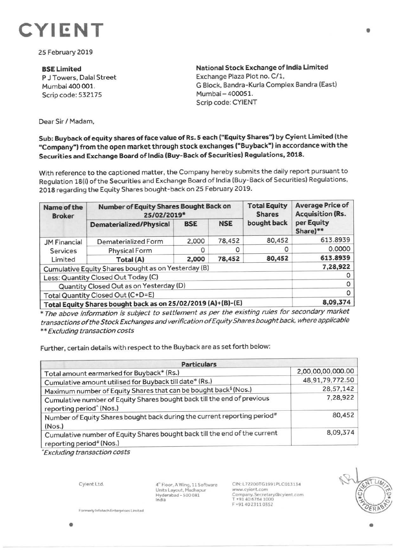

25 February 2019

**SSE Limited**  P J Towers, Dalal Street Mumbai 400 001. Scrip code: 532175

**National Stock Exchange of India Limited**  Exchange Plaza Plot no. C/1, G Block, Bandra-Kurla Complex Sandra (East) Mumbai - 400051. Scrip code: CYIENT

Dear Sir/ Madam,

## **Sub: Buyback of equity shares of face value of Rs. 5 each ("Equity Shares") by Cyient Limited (the "Company") from the open market through stock exchanges ("Buyback") in accordance with the Securities and Exchange Board of India (Buy-Back of Securities) Regulations, 2018.**

With reference to the captioned matter, the Company hereby submits the daily report pursuant to Regulation 18(i) of the Securities and Exchange Board of India (Buy-Back of Securities) Regulations, 2018 regarding the Equity Shares bought-back on 25 February 2019.

| Name of the<br><b>Broker</b>                                 | Number of Equity Shares Bought Back on<br>25/02/2019* |            |            | <b>Total Equity</b><br><b>Shares</b> | <b>Average Price of</b><br><b>Acquisition (Rs.</b> |
|--------------------------------------------------------------|-------------------------------------------------------|------------|------------|--------------------------------------|----------------------------------------------------|
|                                                              | Dematerialized/Physical                               | <b>BSE</b> | <b>NSE</b> | bought back                          | per Equity<br>Share)**                             |
| <b>JM Financial</b><br><b>Services</b><br>Limited            | Dematerialized Form                                   | 2,000      | 78,452     | 80,452                               | 613.8939                                           |
|                                                              | <b>Physical Form</b>                                  |            |            | O                                    | 0.0000                                             |
|                                                              | Total (A)                                             | 2,000      | 78,452     | 80,452                               | 613.8939                                           |
| Cumulative Equity Shares bought as on Yesterday (B)          |                                                       |            |            |                                      | 7,28,922                                           |
| Less: Quantity Closed Out Today (C)                          |                                                       |            |            |                                      |                                                    |
| Quantity Closed Out as on Yesterday (D)                      |                                                       |            |            |                                      | 0                                                  |
| Total Quantity Closed Out (C+D=E)                            |                                                       |            |            |                                      | 0                                                  |
| Total Equity Shares bought back as on 25/02/2019 (A)+(B)-(E) |                                                       |            |            |                                      | 8,09,374                                           |

\* The above information is subject to settlement as per the existing rules for secondary market transactions of the Stock Exchanges and verification of Equity Shares bought back, where applicable \* \* Excluding transaction costs

Further, certain details with respect to the Buyback are as set forth below:

| <b>Particulars</b> |  |  |  |  |
|--------------------|--|--|--|--|
| 2,00,00,00,000.00  |  |  |  |  |
| 48,91,79,772.50    |  |  |  |  |
| 28,57,142          |  |  |  |  |
| 7,28,922           |  |  |  |  |
| 80,452             |  |  |  |  |
| 8,09,374           |  |  |  |  |
|                    |  |  |  |  |

• Excluding transaction costs

Cyient Ltd.

4" Floor. A Wing. 11 Software Units Layout, Madhapur<br>Hyderabad - 500 081 India

CIN.L72200TG1991PLC013134 www.cyient.com Company.Secretary®cyient.com r +91406764 1000 F +9140 23110352

•

•

 $\Gamma$  Formerly Infotech Enterprises Limited